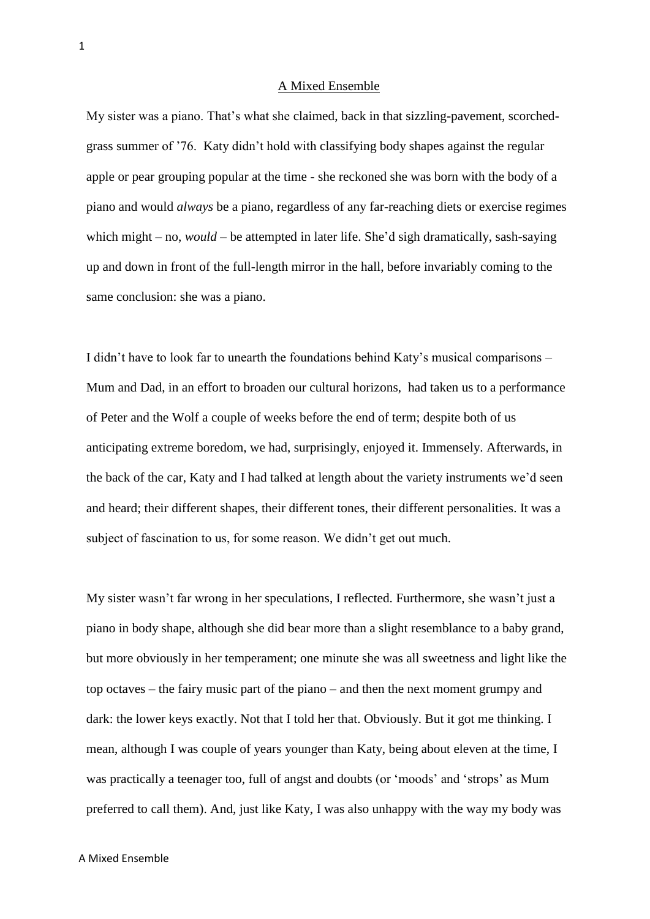## A Mixed Ensemble

My sister was a piano. That's what she claimed, back in that sizzling-pavement, scorchedgrass summer of '76. Katy didn't hold with classifying body shapes against the regular apple or pear grouping popular at the time - she reckoned she was born with the body of a piano and would *always* be a piano, regardless of any far-reaching diets or exercise regimes which might – no, *would* – be attempted in later life. She'd sigh dramatically, sash-saying up and down in front of the full-length mirror in the hall, before invariably coming to the same conclusion: she was a piano.

I didn't have to look far to unearth the foundations behind Katy's musical comparisons – Mum and Dad, in an effort to broaden our cultural horizons, had taken us to a performance of Peter and the Wolf a couple of weeks before the end of term; despite both of us anticipating extreme boredom, we had, surprisingly, enjoyed it. Immensely. Afterwards, in the back of the car, Katy and I had talked at length about the variety instruments we'd seen and heard; their different shapes, their different tones, their different personalities. It was a subject of fascination to us, for some reason. We didn't get out much.

My sister wasn't far wrong in her speculations, I reflected. Furthermore, she wasn't just a piano in body shape, although she did bear more than a slight resemblance to a baby grand, but more obviously in her temperament; one minute she was all sweetness and light like the top octaves – the fairy music part of the piano – and then the next moment grumpy and dark: the lower keys exactly. Not that I told her that. Obviously. But it got me thinking. I mean, although I was couple of years younger than Katy, being about eleven at the time, I was practically a teenager too, full of angst and doubts (or 'moods' and 'strops' as Mum preferred to call them). And, just like Katy, I was also unhappy with the way my body was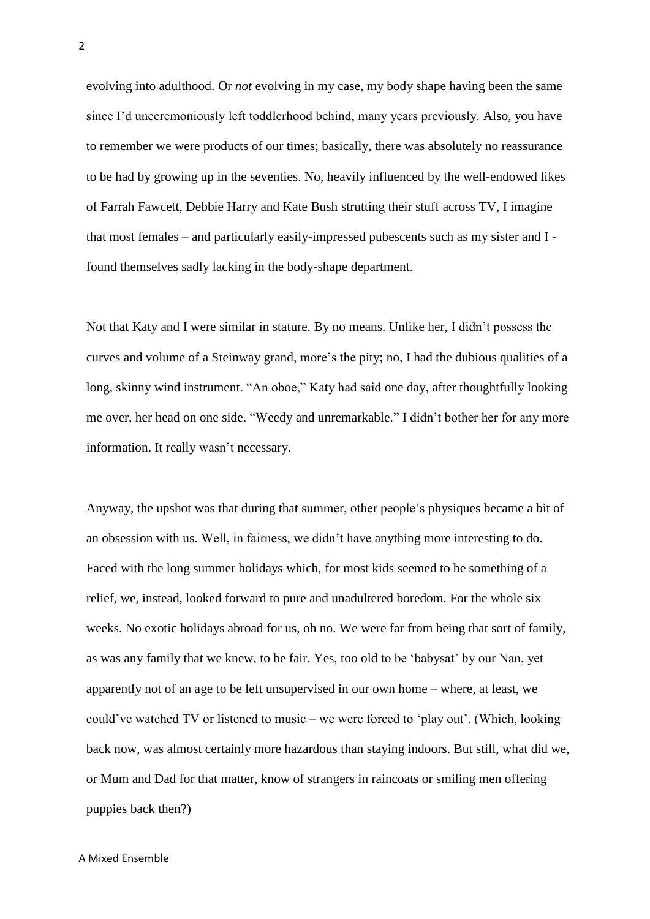evolving into adulthood. Or *not* evolving in my case, my body shape having been the same since I'd unceremoniously left toddlerhood behind, many years previously. Also, you have to remember we were products of our times; basically, there was absolutely no reassurance to be had by growing up in the seventies. No, heavily influenced by the well-endowed likes of Farrah Fawcett, Debbie Harry and Kate Bush strutting their stuff across TV, I imagine that most females – and particularly easily-impressed pubescents such as my sister and I found themselves sadly lacking in the body-shape department.

Not that Katy and I were similar in stature. By no means. Unlike her, I didn't possess the curves and volume of a Steinway grand, more's the pity; no, I had the dubious qualities of a long, skinny wind instrument. "An oboe," Katy had said one day, after thoughtfully looking me over, her head on one side. "Weedy and unremarkable." I didn't bother her for any more information. It really wasn't necessary.

Anyway, the upshot was that during that summer, other people's physiques became a bit of an obsession with us. Well, in fairness, we didn't have anything more interesting to do. Faced with the long summer holidays which, for most kids seemed to be something of a relief, we, instead, looked forward to pure and unadultered boredom. For the whole six weeks. No exotic holidays abroad for us, oh no. We were far from being that sort of family, as was any family that we knew, to be fair. Yes, too old to be 'babysat' by our Nan, yet apparently not of an age to be left unsupervised in our own home – where, at least, we could've watched TV or listened to music – we were forced to 'play out'. (Which, looking back now, was almost certainly more hazardous than staying indoors. But still, what did we, or Mum and Dad for that matter, know of strangers in raincoats or smiling men offering puppies back then?)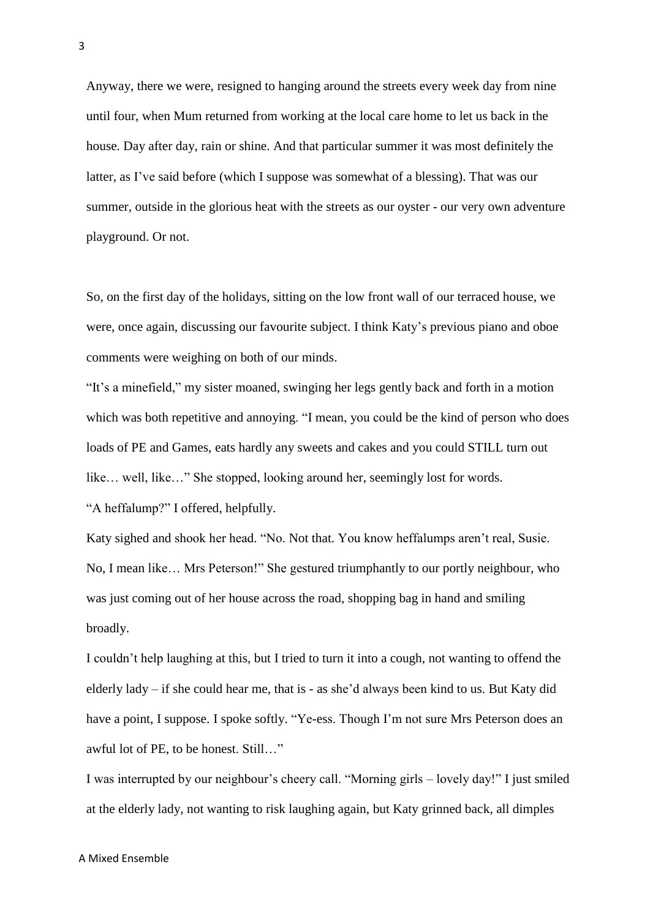Anyway, there we were, resigned to hanging around the streets every week day from nine until four, when Mum returned from working at the local care home to let us back in the house. Day after day, rain or shine. And that particular summer it was most definitely the latter, as I've said before (which I suppose was somewhat of a blessing). That was our summer, outside in the glorious heat with the streets as our oyster - our very own adventure playground. Or not.

So, on the first day of the holidays, sitting on the low front wall of our terraced house, we were, once again, discussing our favourite subject. I think Katy's previous piano and oboe comments were weighing on both of our minds.

"It's a minefield," my sister moaned, swinging her legs gently back and forth in a motion which was both repetitive and annoying. "I mean, you could be the kind of person who does loads of PE and Games, eats hardly any sweets and cakes and you could STILL turn out like… well, like…" She stopped, looking around her, seemingly lost for words. "A heffalump?" I offered, helpfully.

Katy sighed and shook her head. "No. Not that. You know heffalumps aren't real, Susie. No, I mean like… Mrs Peterson!" She gestured triumphantly to our portly neighbour, who was just coming out of her house across the road, shopping bag in hand and smiling broadly.

I couldn't help laughing at this, but I tried to turn it into a cough, not wanting to offend the elderly lady – if she could hear me, that is - as she'd always been kind to us. But Katy did have a point, I suppose. I spoke softly. "Ye-ess. Though I'm not sure Mrs Peterson does an awful lot of PE, to be honest. Still…"

I was interrupted by our neighbour's cheery call. "Morning girls – lovely day!" I just smiled at the elderly lady, not wanting to risk laughing again, but Katy grinned back, all dimples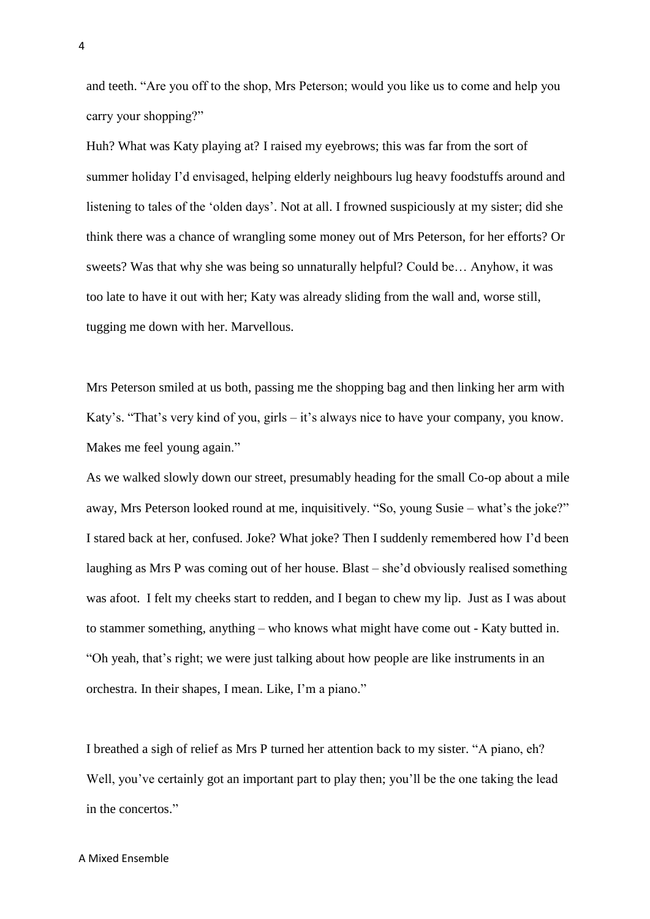and teeth. "Are you off to the shop, Mrs Peterson; would you like us to come and help you carry your shopping?"

Huh? What was Katy playing at? I raised my eyebrows; this was far from the sort of summer holiday I'd envisaged, helping elderly neighbours lug heavy foodstuffs around and listening to tales of the 'olden days'. Not at all. I frowned suspiciously at my sister; did she think there was a chance of wrangling some money out of Mrs Peterson, for her efforts? Or sweets? Was that why she was being so unnaturally helpful? Could be… Anyhow, it was too late to have it out with her; Katy was already sliding from the wall and, worse still, tugging me down with her. Marvellous.

Mrs Peterson smiled at us both, passing me the shopping bag and then linking her arm with Katy's. "That's very kind of you, girls – it's always nice to have your company, you know. Makes me feel young again."

As we walked slowly down our street, presumably heading for the small Co-op about a mile away, Mrs Peterson looked round at me, inquisitively. "So, young Susie – what's the joke?" I stared back at her, confused. Joke? What joke? Then I suddenly remembered how I'd been laughing as Mrs P was coming out of her house. Blast – she'd obviously realised something was afoot. I felt my cheeks start to redden, and I began to chew my lip. Just as I was about to stammer something, anything – who knows what might have come out - Katy butted in. "Oh yeah, that's right; we were just talking about how people are like instruments in an orchestra. In their shapes, I mean. Like, I'm a piano."

I breathed a sigh of relief as Mrs P turned her attention back to my sister. "A piano, eh? Well, you've certainly got an important part to play then; you'll be the one taking the lead in the concertos."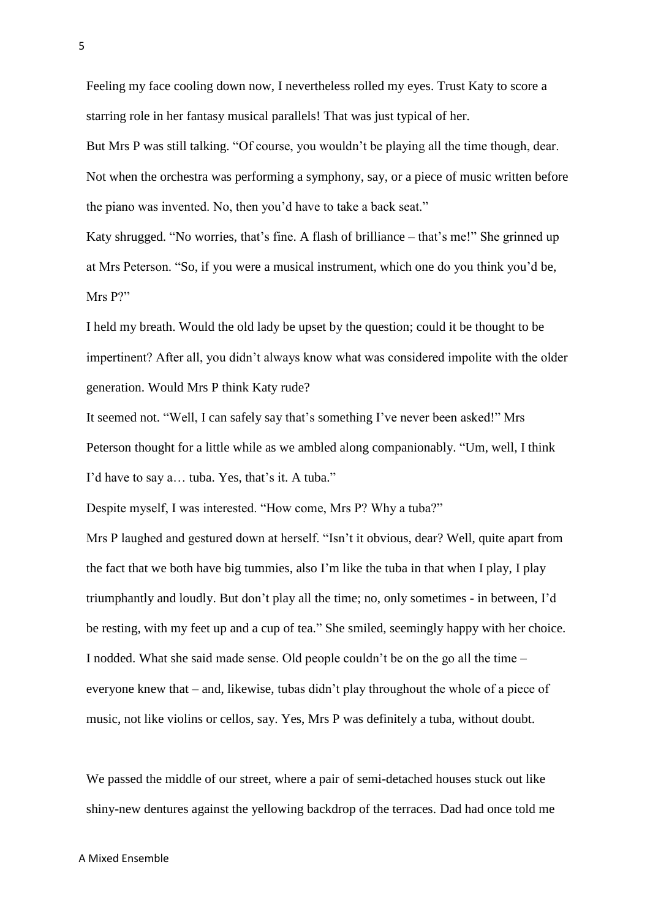Feeling my face cooling down now, I nevertheless rolled my eyes. Trust Katy to score a starring role in her fantasy musical parallels! That was just typical of her.

But Mrs P was still talking. "Of course, you wouldn't be playing all the time though, dear. Not when the orchestra was performing a symphony, say, or a piece of music written before the piano was invented. No, then you'd have to take a back seat."

Katy shrugged. "No worries, that's fine. A flash of brilliance – that's me!" She grinned up at Mrs Peterson. "So, if you were a musical instrument, which one do you think you'd be, Mrs P?"

I held my breath. Would the old lady be upset by the question; could it be thought to be impertinent? After all, you didn't always know what was considered impolite with the older generation. Would Mrs P think Katy rude?

It seemed not. "Well, I can safely say that's something I've never been asked!" Mrs Peterson thought for a little while as we ambled along companionably. "Um, well, I think I'd have to say a… tuba. Yes, that's it. A tuba."

Despite myself, I was interested. "How come, Mrs P? Why a tuba?"

Mrs P laughed and gestured down at herself. "Isn't it obvious, dear? Well, quite apart from the fact that we both have big tummies, also I'm like the tuba in that when I play, I play triumphantly and loudly. But don't play all the time; no, only sometimes - in between, I'd be resting, with my feet up and a cup of tea." She smiled, seemingly happy with her choice. I nodded. What she said made sense. Old people couldn't be on the go all the time – everyone knew that – and, likewise, tubas didn't play throughout the whole of a piece of music, not like violins or cellos, say. Yes, Mrs P was definitely a tuba, without doubt.

We passed the middle of our street, where a pair of semi-detached houses stuck out like shiny-new dentures against the yellowing backdrop of the terraces. Dad had once told me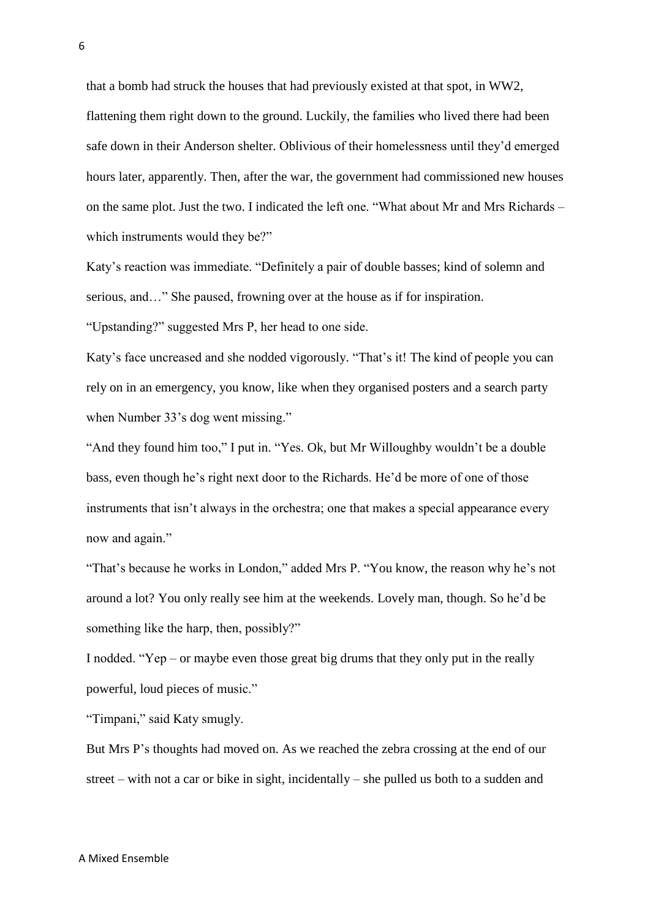that a bomb had struck the houses that had previously existed at that spot, in WW2, flattening them right down to the ground. Luckily, the families who lived there had been safe down in their Anderson shelter. Oblivious of their homelessness until they'd emerged hours later, apparently. Then, after the war, the government had commissioned new houses on the same plot. Just the two. I indicated the left one. "What about Mr and Mrs Richards – which instruments would they be?"

Katy's reaction was immediate. "Definitely a pair of double basses; kind of solemn and serious, and…" She paused, frowning over at the house as if for inspiration.

"Upstanding?" suggested Mrs P, her head to one side.

Katy's face uncreased and she nodded vigorously. "That's it! The kind of people you can rely on in an emergency, you know, like when they organised posters and a search party when Number 33's dog went missing."

"And they found him too," I put in. "Yes. Ok, but Mr Willoughby wouldn't be a double bass, even though he's right next door to the Richards. He'd be more of one of those instruments that isn't always in the orchestra; one that makes a special appearance every now and again."

"That's because he works in London," added Mrs P. "You know, the reason why he's not around a lot? You only really see him at the weekends. Lovely man, though. So he'd be something like the harp, then, possibly?"

I nodded. "Yep – or maybe even those great big drums that they only put in the really powerful, loud pieces of music."

"Timpani," said Katy smugly.

But Mrs P's thoughts had moved on. As we reached the zebra crossing at the end of our street – with not a car or bike in sight, incidentally – she pulled us both to a sudden and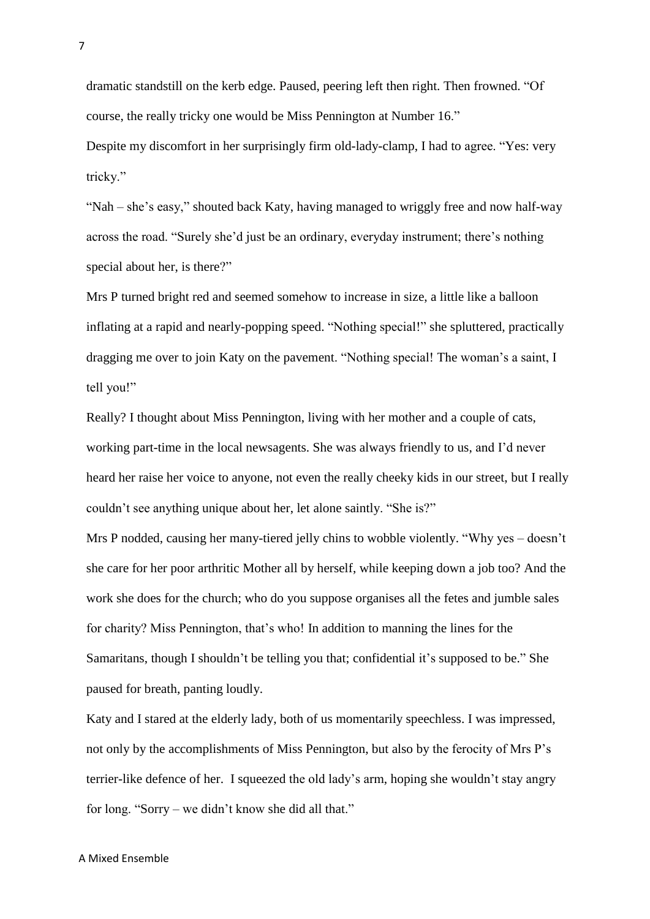dramatic standstill on the kerb edge. Paused, peering left then right. Then frowned. "Of course, the really tricky one would be Miss Pennington at Number 16."

Despite my discomfort in her surprisingly firm old-lady-clamp, I had to agree. "Yes: very tricky."

"Nah – she's easy," shouted back Katy, having managed to wriggly free and now half-way across the road. "Surely she'd just be an ordinary, everyday instrument; there's nothing special about her, is there?"

Mrs P turned bright red and seemed somehow to increase in size, a little like a balloon inflating at a rapid and nearly-popping speed. "Nothing special!" she spluttered, practically dragging me over to join Katy on the pavement. "Nothing special! The woman's a saint, I tell you!"

Really? I thought about Miss Pennington, living with her mother and a couple of cats, working part-time in the local newsagents. She was always friendly to us, and I'd never heard her raise her voice to anyone, not even the really cheeky kids in our street, but I really couldn't see anything unique about her, let alone saintly. "She is?"

Mrs P nodded, causing her many-tiered jelly chins to wobble violently. "Why yes – doesn't she care for her poor arthritic Mother all by herself, while keeping down a job too? And the work she does for the church; who do you suppose organises all the fetes and jumble sales for charity? Miss Pennington, that's who! In addition to manning the lines for the Samaritans, though I shouldn't be telling you that; confidential it's supposed to be." She paused for breath, panting loudly.

Katy and I stared at the elderly lady, both of us momentarily speechless. I was impressed, not only by the accomplishments of Miss Pennington, but also by the ferocity of Mrs P's terrier-like defence of her. I squeezed the old lady's arm, hoping she wouldn't stay angry for long. "Sorry – we didn't know she did all that."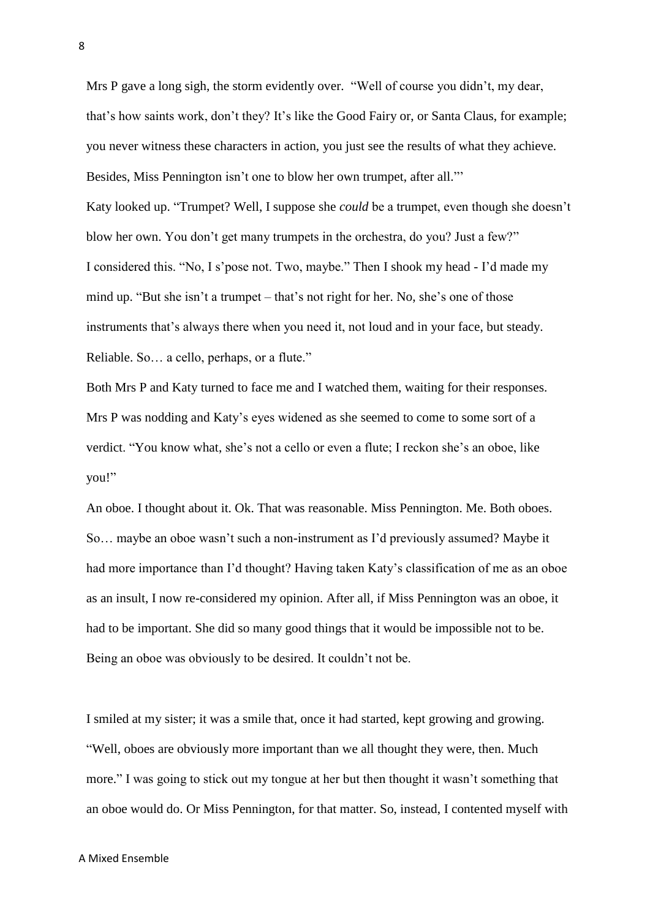Mrs P gave a long sigh, the storm evidently over. "Well of course you didn't, my dear, that's how saints work, don't they? It's like the Good Fairy or, or Santa Claus, for example; you never witness these characters in action, you just see the results of what they achieve. Besides, Miss Pennington isn't one to blow her own trumpet, after all."' Katy looked up. "Trumpet? Well, I suppose she *could* be a trumpet, even though she doesn't blow her own. You don't get many trumpets in the orchestra, do you? Just a few?" I considered this. "No, I s'pose not. Two, maybe." Then I shook my head - I'd made my mind up. "But she isn't a trumpet – that's not right for her. No, she's one of those instruments that's always there when you need it, not loud and in your face, but steady. Reliable. So… a cello, perhaps, or a flute."

Both Mrs P and Katy turned to face me and I watched them, waiting for their responses. Mrs P was nodding and Katy's eyes widened as she seemed to come to some sort of a verdict. "You know what, she's not a cello or even a flute; I reckon she's an oboe, like you!"

An oboe. I thought about it. Ok. That was reasonable. Miss Pennington. Me. Both oboes. So… maybe an oboe wasn't such a non-instrument as I'd previously assumed? Maybe it had more importance than I'd thought? Having taken Katy's classification of me as an oboe as an insult, I now re-considered my opinion. After all, if Miss Pennington was an oboe, it had to be important. She did so many good things that it would be impossible not to be. Being an oboe was obviously to be desired. It couldn't not be.

I smiled at my sister; it was a smile that, once it had started, kept growing and growing. "Well, oboes are obviously more important than we all thought they were, then. Much more." I was going to stick out my tongue at her but then thought it wasn't something that an oboe would do. Or Miss Pennington, for that matter. So, instead, I contented myself with